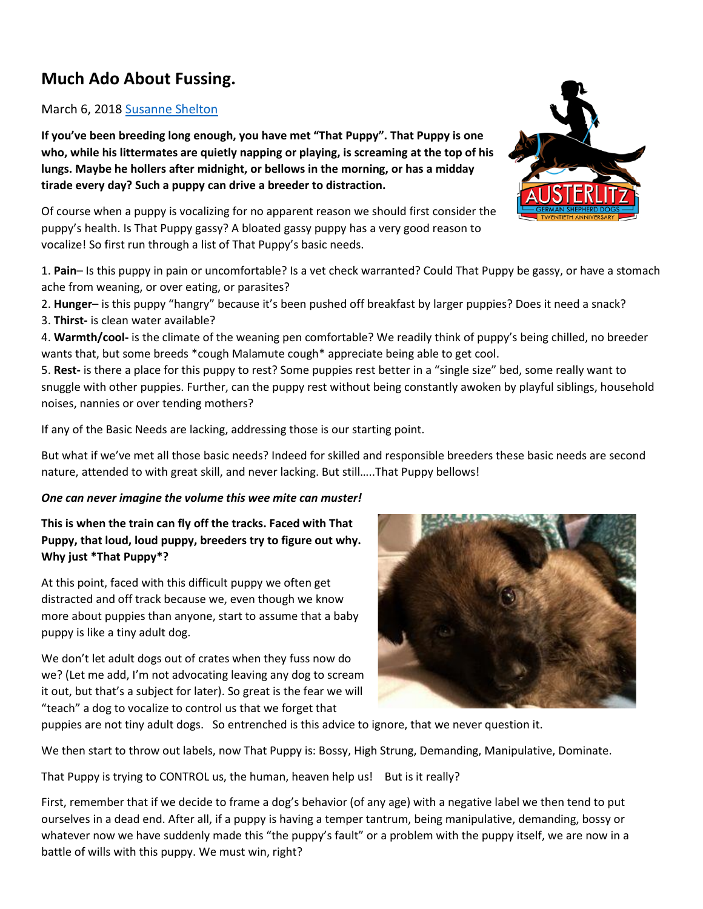# **Much Ado About Fussing.**

# March 6, 2018 [Susanne Shelton](https://austerlitzshepherds.com/author/susanne/)

**If you've been breeding long enough, you have met "That Puppy". That Puppy is one who, while his littermates are quietly napping or playing, is screaming at the top of his lungs. Maybe he hollers after midnight, or bellows in the morning, or has a midday tirade every day? Such a puppy can drive a breeder to distraction.**

Of course when a puppy is vocalizing for no apparent reason we should first consider the puppy's health. Is That Puppy gassy? A bloated gassy puppy has a very good reason to vocalize! So first run through a list of That Puppy's basic needs.

1. **Pain**– Is this puppy in pain or uncomfortable? Is a vet check warranted? Could That Puppy be gassy, or have a stomach ache from weaning, or over eating, or parasites?

2. **Hunger**– is this puppy "hangry" because it's been pushed off breakfast by larger puppies? Does it need a snack? 3. **Thirst-** is clean water available?

4. **Warmth/cool-** is the climate of the weaning pen comfortable? We readily think of puppy's being chilled, no breeder wants that, but some breeds \*cough Malamute cough\* appreciate being able to get cool.

5. **Rest-** is there a place for this puppy to rest? Some puppies rest better in a "single size" bed, some really want to snuggle with other puppies. Further, can the puppy rest without being constantly awoken by playful siblings, household noises, nannies or over tending mothers?

If any of the Basic Needs are lacking, addressing those is our starting point.

But what if we've met all those basic needs? Indeed for skilled and responsible breeders these basic needs are second nature, attended to with great skill, and never lacking. But still…..That Puppy bellows!

# *One can never imagine the volume this wee mite can muster!*

**This is when the train can fly off the tracks. Faced with That Puppy, that loud, loud puppy, breeders try to figure out why. Why just \*That Puppy\*?**

At this point, faced with this difficult puppy we often get distracted and off track because we, even though we know more about puppies than anyone, start to assume that a baby puppy is like a tiny adult dog.

We don't let adult dogs out of crates when they fuss now do we? (Let me add, I'm not advocating leaving any dog to scream it out, but that's a subject for later). So great is the fear we will "teach" a dog to vocalize to control us that we forget that

puppies are not tiny adult dogs. So entrenched is this advice to ignore, that we never question it.

We then start to throw out labels, now That Puppy is: Bossy, High Strung, Demanding, Manipulative, Dominate.

That Puppy is trying to CONTROL us, the human, heaven help us! But is it really?

First, remember that if we decide to frame a dog's behavior (of any age) with a negative label we then tend to put ourselves in a dead end. After all, if a puppy is having a temper tantrum, being manipulative, demanding, bossy or whatever now we have suddenly made this "the puppy's fault" or a problem with the puppy itself, we are now in a battle of wills with this puppy. We must win, right?



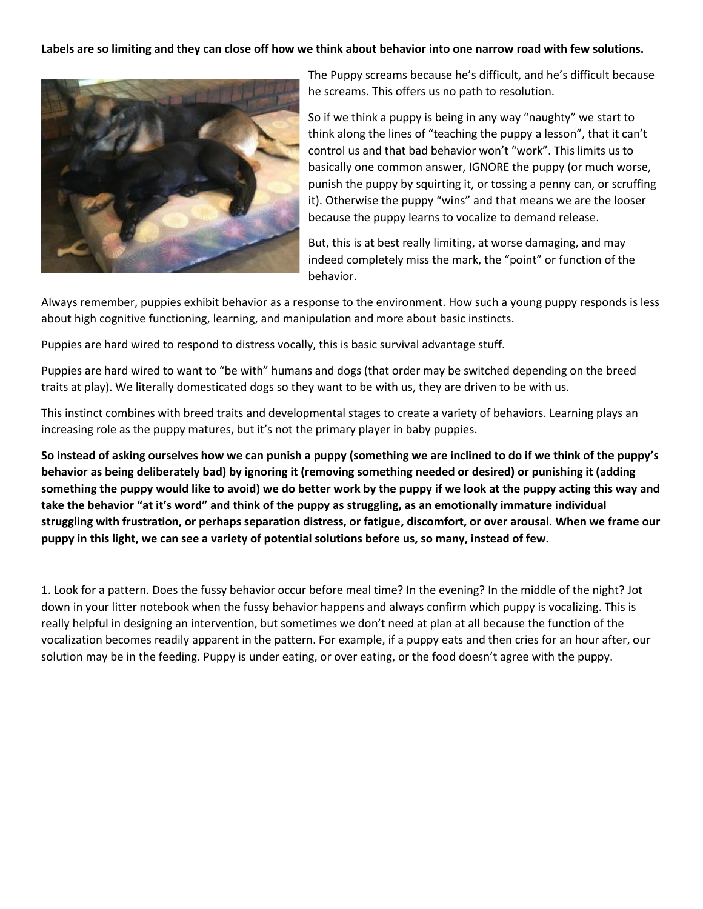#### **Labels are so limiting and they can close off how we think about behavior into one narrow road with few solutions.**



The Puppy screams because he's difficult, and he's difficult because he screams. This offers us no path to resolution.

So if we think a puppy is being in any way "naughty" we start to think along the lines of "teaching the puppy a lesson", that it can't control us and that bad behavior won't "work". This limits us to basically one common answer, IGNORE the puppy (or much worse, punish the puppy by squirting it, or tossing a penny can, or scruffing it). Otherwise the puppy "wins" and that means we are the looser because the puppy learns to vocalize to demand release.

But, this is at best really limiting, at worse damaging, and may indeed completely miss the mark, the "point" or function of the behavior.

Always remember, puppies exhibit behavior as a response to the environment. How such a young puppy responds is less about high cognitive functioning, learning, and manipulation and more about basic instincts.

Puppies are hard wired to respond to distress vocally, this is basic survival advantage stuff.

Puppies are hard wired to want to "be with" humans and dogs (that order may be switched depending on the breed traits at play). We literally domesticated dogs so they want to be with us, they are driven to be with us.

This instinct combines with breed traits and developmental stages to create a variety of behaviors. Learning plays an increasing role as the puppy matures, but it's not the primary player in baby puppies.

**So instead of asking ourselves how we can punish a puppy (something we are inclined to do if we think of the puppy's behavior as being deliberately bad) by ignoring it (removing something needed or desired) or punishing it (adding something the puppy would like to avoid) we do better work by the puppy if we look at the puppy acting this way and take the behavior "at it's word" and think of the puppy as struggling, as an emotionally immature individual struggling with frustration, or perhaps separation distress, or fatigue, discomfort, or over arousal. When we frame our puppy in this light, we can see a variety of potential solutions before us, so many, instead of few.**

1. Look for a pattern. Does the fussy behavior occur before meal time? In the evening? In the middle of the night? Jot down in your litter notebook when the fussy behavior happens and always confirm which puppy is vocalizing. This is really helpful in designing an intervention, but sometimes we don't need at plan at all because the function of the vocalization becomes readily apparent in the pattern. For example, if a puppy eats and then cries for an hour after, our solution may be in the feeding. Puppy is under eating, or over eating, or the food doesn't agree with the puppy.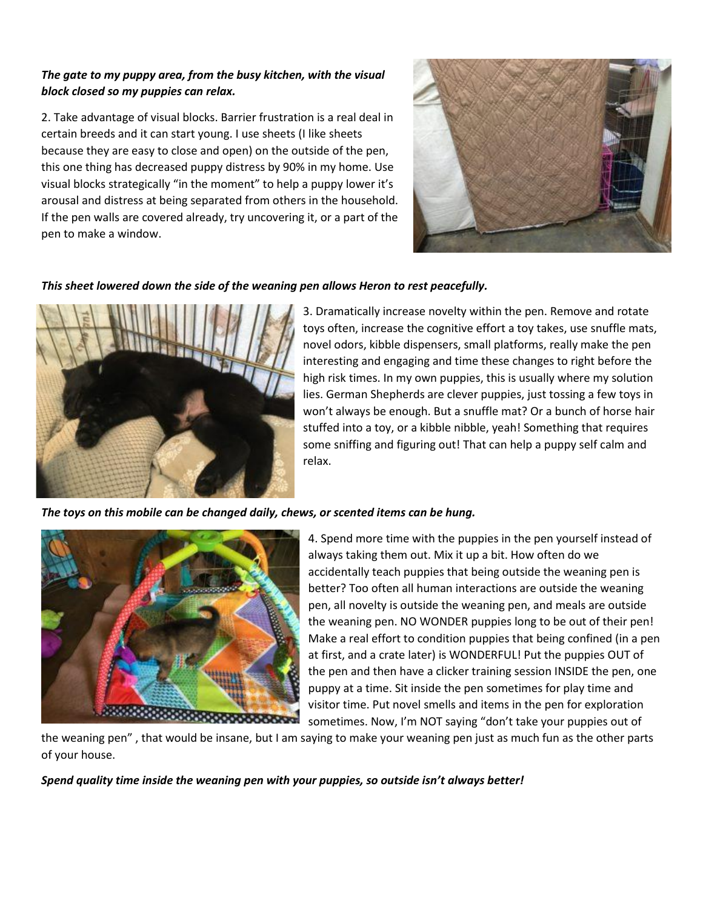# *The gate to my puppy area, from the busy kitchen, with the visual block closed so my puppies can relax.*

2. Take advantage of visual blocks. Barrier frustration is a real deal in certain breeds and it can start young. I use sheets (I like sheets because they are easy to close and open) on the outside of the pen, this one thing has decreased puppy distress by 90% in my home. Use visual blocks strategically "in the moment" to help a puppy lower it's arousal and distress at being separated from others in the household. If the pen walls are covered already, try uncovering it, or a part of the pen to make a window.



# *This sheet lowered down the side of the weaning pen allows Heron to rest peacefully.*



3. Dramatically increase novelty within the pen. Remove and rotate toys often, increase the cognitive effort a toy takes, use snuffle mats, novel odors, kibble dispensers, small platforms, really make the pen interesting and engaging and time these changes to right before the high risk times. In my own puppies, this is usually where my solution lies. German Shepherds are clever puppies, just tossing a few toys in won't always be enough. But a snuffle mat? Or a bunch of horse hair stuffed into a toy, or a kibble nibble, yeah! Something that requires some sniffing and figuring out! That can help a puppy self calm and relax.

#### *The toys on this mobile can be changed daily, chews, or scented items can be hung.*



4. Spend more time with the puppies in the pen yourself instead of always taking them out. Mix it up a bit. How often do we accidentally teach puppies that being outside the weaning pen is better? Too often all human interactions are outside the weaning pen, all novelty is outside the weaning pen, and meals are outside the weaning pen. NO WONDER puppies long to be out of their pen! Make a real effort to condition puppies that being confined (in a pen at first, and a crate later) is WONDERFUL! Put the puppies OUT of the pen and then have a clicker training session INSIDE the pen, one puppy at a time. Sit inside the pen sometimes for play time and visitor time. Put novel smells and items in the pen for exploration sometimes. Now, I'm NOT saying "don't take your puppies out of

the weaning pen" , that would be insane, but I am saying to make your weaning pen just as much fun as the other parts of your house.

*Spend quality time inside the weaning pen with your puppies, so outside isn't always better!*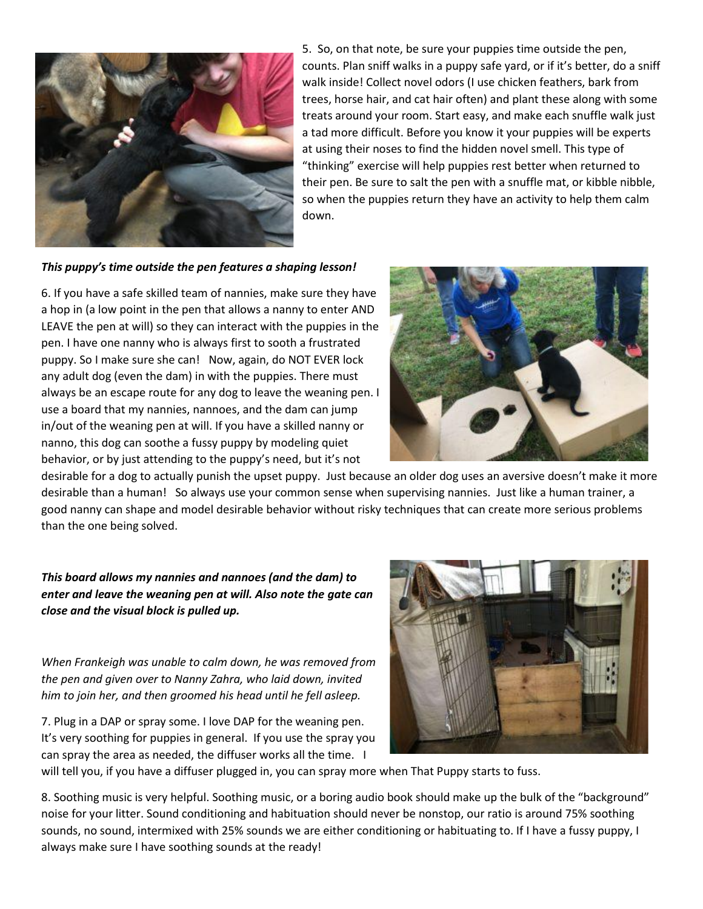

5. So, on that note, be sure your puppies time outside the pen, counts. Plan sniff walks in a puppy safe yard, or if it's better, do a sniff walk inside! Collect novel odors (I use chicken feathers, bark from trees, horse hair, and cat hair often) and plant these along with some treats around your room. Start easy, and make each snuffle walk just a tad more difficult. Before you know it your puppies will be experts at using their noses to find the hidden novel smell. This type of "thinking" exercise will help puppies rest better when returned to their pen. Be sure to salt the pen with a snuffle mat, or kibble nibble, so when the puppies return they have an activity to help them calm down.

#### *This puppy's time outside the pen features a shaping lesson!*

6. If you have a safe skilled team of nannies, make sure they have a hop in (a low point in the pen that allows a nanny to enter AND LEAVE the pen at will) so they can interact with the puppies in the pen. I have one nanny who is always first to sooth a frustrated puppy. So I make sure she can! Now, again, do NOT EVER lock any adult dog (even the dam) in with the puppies. There must always be an escape route for any dog to leave the weaning pen. I use a board that my nannies, nannoes, and the dam can jump in/out of the weaning pen at will. If you have a skilled nanny or nanno, this dog can soothe a fussy puppy by modeling quiet behavior, or by just attending to the puppy's need, but it's not



desirable for a dog to actually punish the upset puppy. Just because an older dog uses an aversive doesn't make it more desirable than a human! So always use your common sense when supervising nannies. Just like a human trainer, a good nanny can shape and model desirable behavior without risky techniques that can create more serious problems than the one being solved.

*This board allows my nannies and nannoes (and the dam) to enter and leave the weaning pen at will. Also note the gate can close and the visual block is pulled up.*

*When Frankeigh was unable to calm down, he was removed from the pen and given over to Nanny Zahra, who laid down, invited him to join her, and then groomed his head until he fell asleep.*

7. Plug in a DAP or spray some. I love DAP for the weaning pen. It's very soothing for puppies in general. If you use the spray you can spray the area as needed, the diffuser works all the time. I



will tell you, if you have a diffuser plugged in, you can spray more when That Puppy starts to fuss.

8. Soothing music is very helpful. Soothing music, or a boring audio book should make up the bulk of the "background" noise for your litter. Sound conditioning and habituation should never be nonstop, our ratio is around 75% soothing sounds, no sound, intermixed with 25% sounds we are either conditioning or habituating to. If I have a fussy puppy, I always make sure I have soothing sounds at the ready!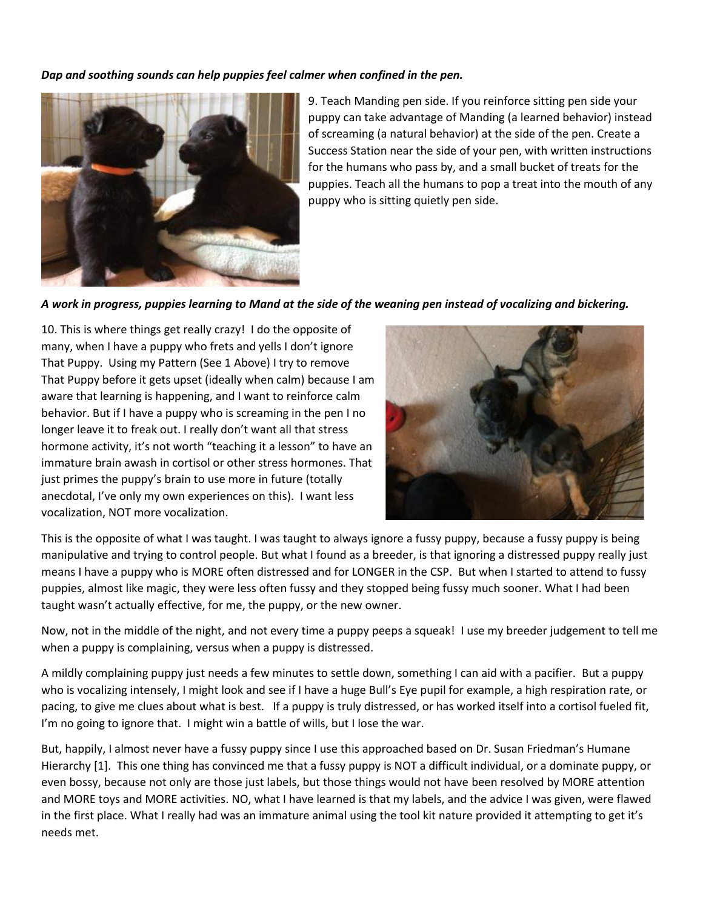#### *Dap and soothing sounds can help puppies feel calmer when confined in the pen.*



9. Teach Manding pen side. If you reinforce sitting pen side your puppy can take advantage of Manding (a learned behavior) instead of screaming (a natural behavior) at the side of the pen. Create a Success Station near the side of your pen, with written instructions for the humans who pass by, and a small bucket of treats for the puppies. Teach all the humans to pop a treat into the mouth of any puppy who is sitting quietly pen side.

#### *A work in progress, puppies learning to Mand at the side of the weaning pen instead of vocalizing and bickering.*

10. This is where things get really crazy! I do the opposite of many, when I have a puppy who frets and yells I don't ignore That Puppy. Using my Pattern (See 1 Above) I try to remove That Puppy before it gets upset (ideally when calm) because I am aware that learning is happening, and I want to reinforce calm behavior. But if I have a puppy who is screaming in the pen I no longer leave it to freak out. I really don't want all that stress hormone activity, it's not worth "teaching it a lesson" to have an immature brain awash in cortisol or other stress hormones. That just primes the puppy's brain to use more in future (totally anecdotal, I've only my own experiences on this). I want less vocalization, NOT more vocalization.



This is the opposite of what I was taught. I was taught to always ignore a fussy puppy, because a fussy puppy is being manipulative and trying to control people. But what I found as a breeder, is that ignoring a distressed puppy really just means I have a puppy who is MORE often distressed and for LONGER in the CSP. But when I started to attend to fussy puppies, almost like magic, they were less often fussy and they stopped being fussy much sooner. What I had been taught wasn't actually effective, for me, the puppy, or the new owner.

Now, not in the middle of the night, and not every time a puppy peeps a squeak! I use my breeder judgement to tell me when a puppy is complaining, versus when a puppy is distressed.

A mildly complaining puppy just needs a few minutes to settle down, something I can aid with a pacifier. But a puppy who is vocalizing intensely, I might look and see if I have a huge Bull's Eye pupil for example, a high respiration rate, or pacing, to give me clues about what is best. If a puppy is truly distressed, or has worked itself into a cortisol fueled fit, I'm no going to ignore that. I might win a battle of wills, but I lose the war.

But, happily, I almost never have a fussy puppy since I use this approached based on Dr. Susan Friedman's Humane Hierarchy [1]. This one thing has convinced me that a fussy puppy is NOT a difficult individual, or a dominate puppy, or even bossy, because not only are those just labels, but those things would not have been resolved by MORE attention and MORE toys and MORE activities. NO, what I have learned is that my labels, and the advice I was given, were flawed in the first place. What I really had was an immature animal using the tool kit nature provided it attempting to get it's needs met.